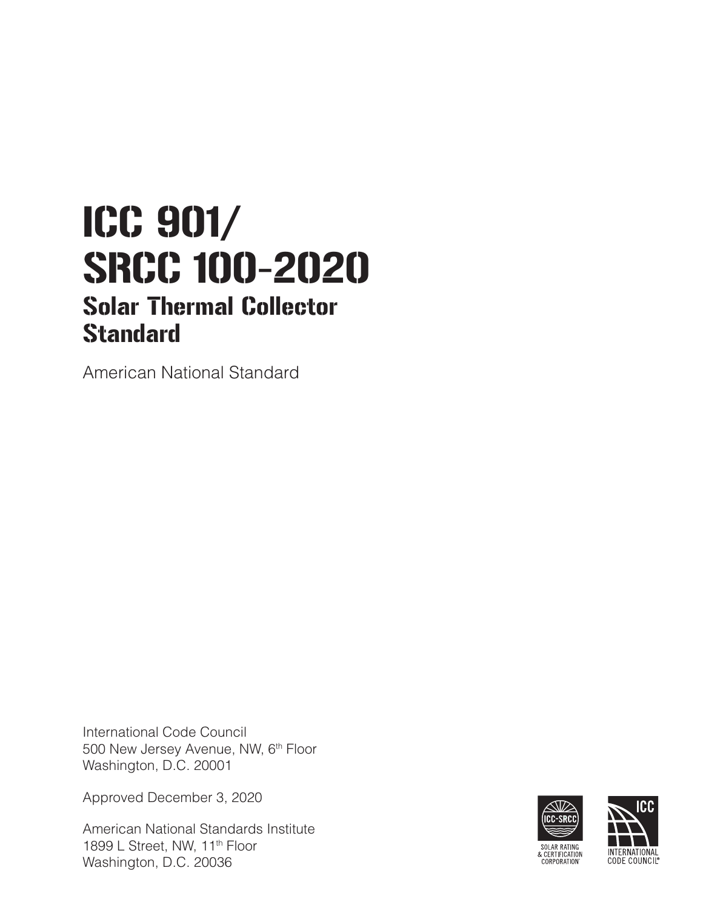# ICC 901/ SRCC 100-2020 Solar Thermal Collector **Standard**

American National Standard

International Code Council 500 New Jersey Avenue, NW, 6<sup>th</sup> Floor Washington, D.C. 20001

Approved December 3, 2020

American National Standards Institute 1899 L Street, NW, 11<sup>th</sup> Floor Washington, D.C. 20036



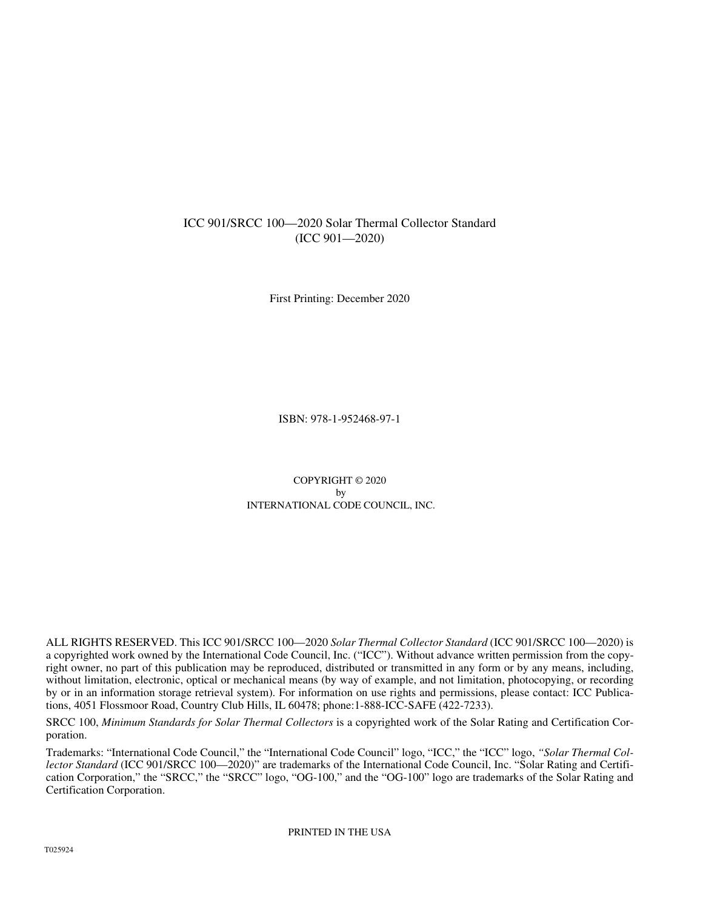# ICC 901/SRCC 100—2020 Solar Thermal Collector Standard (ICC 901—2020)

First Printing: December 2020

ISBN: 978-1-952468-97-1

COPYRIGHT © 2020 by INTERNATIONAL CODE COUNCIL, INC.

ALL RIGHTS RESERVED. This ICC 901/SRCC 100—2020 *Solar Thermal Collector Standard* (ICC 901/SRCC 100—2020) is a copyrighted work owned by the International Code Council, Inc. ("ICC"). Without advance written permission from the copyright owner, no part of this publication may be reproduced, distributed or transmitted in any form or by any means, including, without limitation, electronic, optical or mechanical means (by way of example, and not limitation, photocopying, or recording by or in an information storage retrieval system). For information on use rights and permissions, please contact: ICC Publications, 4051 Flossmoor Road, Country Club Hills, IL 60478; phone:1-888-ICC-SAFE (422-7233).

SRCC 100, *Minimum Standards for Solar Thermal Collectors* is a copyrighted work of the Solar Rating and Certification Corporation.

Trademarks: "International Code Council," the "International Code Council" logo, "ICC," the "ICC" logo, *"Solar Thermal Collector Standard* (ICC 901/SRCC 100—2020)" are trademarks of the International Code Council, Inc. "Solar Rating and Certification Corporation," the "SRCC," the "SRCC" logo, "OG-100," and the "OG-100" logo are trademarks of the Solar Rating and Certification Corporation.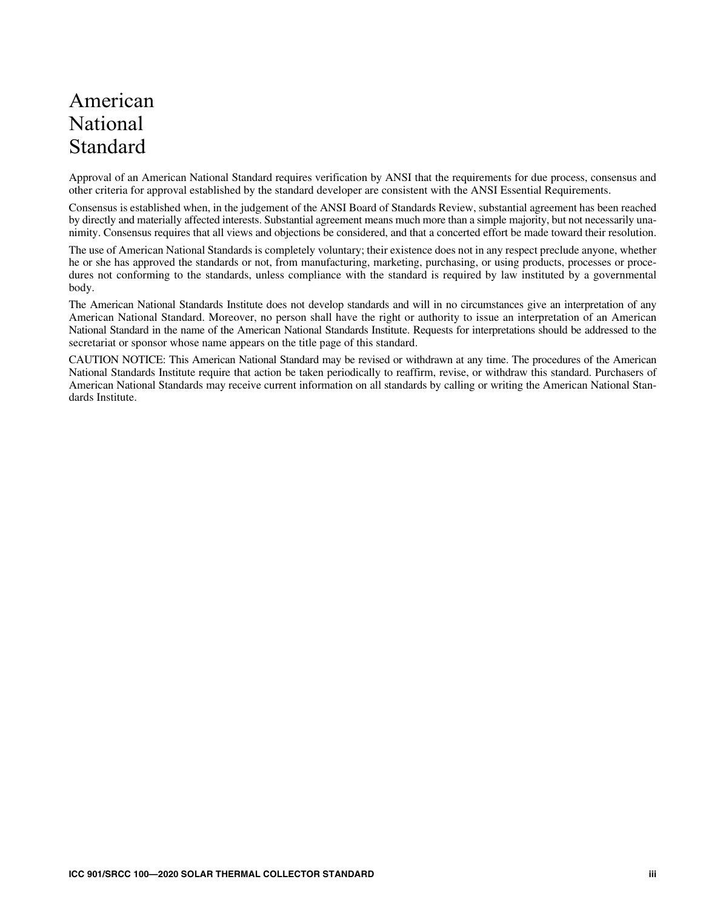# American National **Standard**

Approval of an American National Standard requires verification by ANSI that the requirements for due process, consensus and other criteria for approval established by the standard developer are consistent with the ANSI Essential Requirements.

Consensus is established when, in the judgement of the ANSI Board of Standards Review, substantial agreement has been reached by directly and materially affected interests. Substantial agreement means much more than a simple majority, but not necessarily unanimity. Consensus requires that all views and objections be considered, and that a concerted effort be made toward their resolution.

The use of American National Standards is completely voluntary; their existence does not in any respect preclude anyone, whether he or she has approved the standards or not, from manufacturing, marketing, purchasing, or using products, processes or procedures not conforming to the standards, unless compliance with the standard is required by law instituted by a governmental body.

The American National Standards Institute does not develop standards and will in no circumstances give an interpretation of any American National Standard. Moreover, no person shall have the right or authority to issue an interpretation of an American National Standard in the name of the American National Standards Institute. Requests for interpretations should be addressed to the secretariat or sponsor whose name appears on the title page of this standard.

CAUTION NOTICE: This American National Standard may be revised or withdrawn at any time. The procedures of the American National Standards Institute require that action be taken periodically to reaffirm, revise, or withdraw this standard. Purchasers of American National Standards may receive current information on all standards by calling or writing the American National Standards Institute.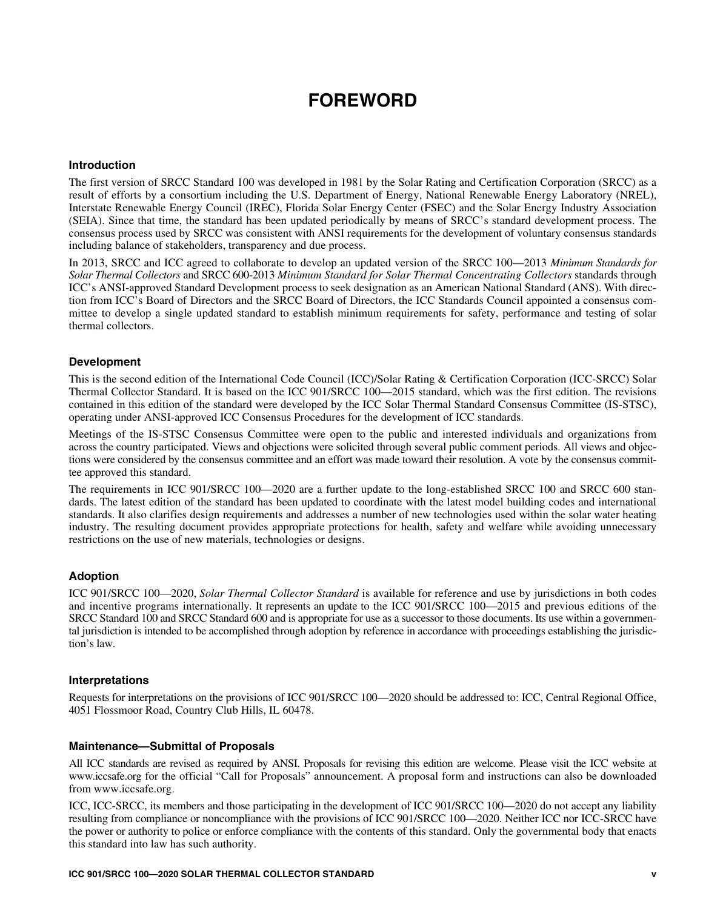# **FOREWORD**

### **Introduction**

The first version of SRCC Standard 100 was developed in 1981 by the Solar Rating and Certification Corporation (SRCC) as a result of efforts by a consortium including the U.S. Department of Energy, National Renewable Energy Laboratory (NREL), Interstate Renewable Energy Council (IREC), Florida Solar Energy Center (FSEC) and the Solar Energy Industry Association (SEIA). Since that time, the standard has been updated periodically by means of SRCC's standard development process. The consensus process used by SRCC was consistent with ANSI requirements for the development of voluntary consensus standards including balance of stakeholders, transparency and due process.

In 2013, SRCC and ICC agreed to collaborate to develop an updated version of the SRCC 100—2013 *Minimum Standards for Solar Thermal Collectors* and SRCC 600-2013 *Minimum Standard for Solar Thermal Concentrating Collectors* standards through ICC's ANSI-approved Standard Development process to seek designation as an American National Standard (ANS). With direction from ICC's Board of Directors and the SRCC Board of Directors, the ICC Standards Council appointed a consensus committee to develop a single updated standard to establish minimum requirements for safety, performance and testing of solar thermal collectors.

### **Development**

This is the second edition of the International Code Council (ICC)/Solar Rating & Certification Corporation (ICC-SRCC) Solar Thermal Collector Standard. It is based on the ICC 901/SRCC 100—2015 standard, which was the first edition. The revisions contained in this edition of the standard were developed by the ICC Solar Thermal Standard Consensus Committee (IS-STSC), operating under ANSI-approved ICC Consensus Procedures for the development of ICC standards.

Meetings of the IS-STSC Consensus Committee were open to the public and interested individuals and organizations from across the country participated. Views and objections were solicited through several public comment periods. All views and objections were considered by the consensus committee and an effort was made toward their resolution. A vote by the consensus committee approved this standard.

The requirements in ICC 901/SRCC 100—2020 are a further update to the long-established SRCC 100 and SRCC 600 standards. The latest edition of the standard has been updated to coordinate with the latest model building codes and international standards. It also clarifies design requirements and addresses a number of new technologies used within the solar water heating industry. The resulting document provides appropriate protections for health, safety and welfare while avoiding unnecessary restrictions on the use of new materials, technologies or designs.

### **Adoption**

ICC 901/SRCC 100—2020, *Solar Thermal Collector Standard* is available for reference and use by jurisdictions in both codes and incentive programs internationally. It represents an update to the ICC 901/SRCC 100—2015 and previous editions of the SRCC Standard 100 and SRCC Standard 600 and is appropriate for use as a successor to those documents. Its use within a governmental jurisdiction is intended to be accomplished through adoption by reference in accordance with proceedings establishing the jurisdiction's law.

#### **Interpretations**

Requests for interpretations on the provisions of ICC 901/SRCC 100—2020 should be addressed to: ICC, Central Regional Office, 4051 Flossmoor Road, Country Club Hills, IL 60478.

#### **Maintenance—Submittal of Proposals**

All ICC standards are revised as required by ANSI. Proposals for revising this edition are welcome. Please visit the ICC website at www.iccsafe.org for the official "Call for Proposals" announcement. A proposal form and instructions can also be downloaded from www.iccsafe.org.

ICC, ICC-SRCC, its members and those participating in the development of ICC 901/SRCC 100—2020 do not accept any liability resulting from compliance or noncompliance with the provisions of ICC 901/SRCC 100—2020. Neither ICC nor ICC-SRCC have the power or authority to police or enforce compliance with the contents of this standard. Only the governmental body that enacts this standard into law has such authority.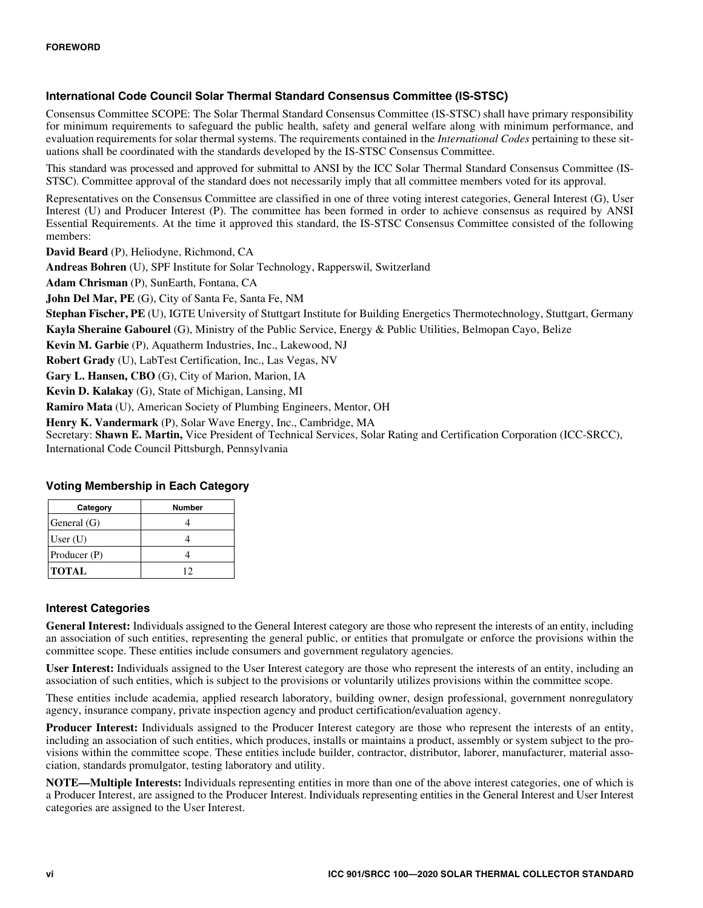# **International Code Council Solar Thermal Standard Consensus Committee (IS-STSC)**

Consensus Committee SCOPE: The Solar Thermal Standard Consensus Committee (IS-STSC) shall have primary responsibility for minimum requirements to safeguard the public health, safety and general welfare along with minimum performance, and evaluation requirements for solar thermal systems. The requirements contained in the *International Codes* pertaining to these situations shall be coordinated with the standards developed by the IS-STSC Consensus Committee.

This standard was processed and approved for submittal to ANSI by the ICC Solar Thermal Standard Consensus Committee (IS-STSC). Committee approval of the standard does not necessarily imply that all committee members voted for its approval.

Representatives on the Consensus Committee are classified in one of three voting interest categories, General Interest (G), User Interest (U) and Producer Interest (P). The committee has been formed in order to achieve consensus as required by ANSI Essential Requirements. At the time it approved this standard, the IS-STSC Consensus Committee consisted of the following members:

**David Beard** (P), Heliodyne, Richmond, CA

**Andreas Bohren** (U), SPF Institute for Solar Technology, Rapperswil, Switzerland

**Adam Chrisman** (P), SunEarth, Fontana, CA

**John Del Mar, PE** (G), City of Santa Fe, Santa Fe, NM

**Stephan Fischer, PE** (U), IGTE University of Stuttgart Institute for Building Energetics Thermotechnology, Stuttgart, Germany

**Kayla Sheraine Gabourel** (G), Ministry of the Public Service, Energy & Public Utilities, Belmopan Cayo, Belize

**Kevin M. Garbie** (P), Aquatherm Industries, Inc., Lakewood, NJ

**Robert Grady** (U), LabTest Certification, Inc., Las Vegas, NV

**Gary L. Hansen, CBO** (G), City of Marion, Marion, IA

**Kevin D. Kalakay** (G), State of Michigan, Lansing, MI

**Ramiro Mata** (U), American Society of Plumbing Engineers, Mentor, OH

**Henry K. Vandermark** (P), Solar Wave Energy, Inc., Cambridge, MA

Secretary: **Shawn E. Martin,** Vice President of Technical Services, Solar Rating and Certification Corporation (ICC-SRCC), International Code Council Pittsburgh, Pennsylvania

| Category     | <b>Number</b> |
|--------------|---------------|
| General (G)  |               |
| User $(U)$   |               |
| Producer (P) |               |
| <b>TOTAL</b> | 12            |

# **Voting Membership in Each Category**

# **Interest Categories**

**General Interest:** Individuals assigned to the General Interest category are those who represent the interests of an entity, including an association of such entities, representing the general public, or entities that promulgate or enforce the provisions within the committee scope. These entities include consumers and government regulatory agencies.

**User Interest:** Individuals assigned to the User Interest category are those who represent the interests of an entity, including an association of such entities, which is subject to the provisions or voluntarily utilizes provisions within the committee scope.

These entities include academia, applied research laboratory, building owner, design professional, government nonregulatory agency, insurance company, private inspection agency and product certification/evaluation agency.

**Producer Interest:** Individuals assigned to the Producer Interest category are those who represent the interests of an entity, including an association of such entities, which produces, installs or maintains a product, assembly or system subject to the provisions within the committee scope. These entities include builder, contractor, distributor, laborer, manufacturer, material association, standards promulgator, testing laboratory and utility.

**NOTE—Multiple Interests:** Individuals representing entities in more than one of the above interest categories, one of which is a Producer Interest, are assigned to the Producer Interest. Individuals representing entities in the General Interest and User Interest categories are assigned to the User Interest.